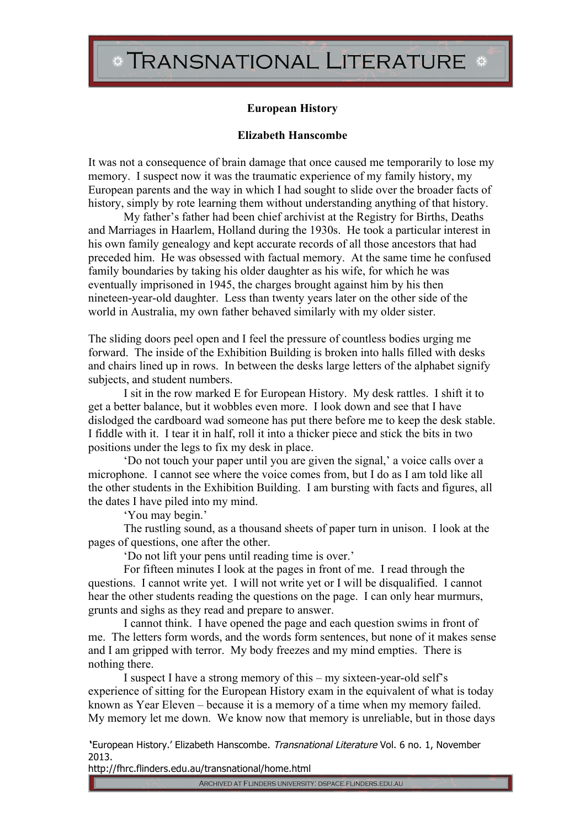## TRANSNATIONAL LITERATURE \*

## **European History**

## **Elizabeth Hanscombe**

It was not a consequence of brain damage that once caused me temporarily to lose my memory. I suspect now it was the traumatic experience of my family history, my European parents and the way in which I had sought to slide over the broader facts of history, simply by rote learning them without understanding anything of that history.

My father's father had been chief archivist at the Registry for Births, Deaths and Marriages in Haarlem, Holland during the 1930s. He took a particular interest in his own family genealogy and kept accurate records of all those ancestors that had preceded him. He was obsessed with factual memory. At the same time he confused family boundaries by taking his older daughter as his wife, for which he was eventually imprisoned in 1945, the charges brought against him by his then nineteen-year-old daughter. Less than twenty years later on the other side of the world in Australia, my own father behaved similarly with my older sister.

The sliding doors peel open and I feel the pressure of countless bodies urging me forward. The inside of the Exhibition Building is broken into halls filled with desks and chairs lined up in rows. In between the desks large letters of the alphabet signify subjects, and student numbers.

I sit in the row marked E for European History. My desk rattles. I shift it to get a better balance, but it wobbles even more. I look down and see that I have dislodged the cardboard wad someone has put there before me to keep the desk stable. I fiddle with it. I tear it in half, roll it into a thicker piece and stick the bits in two positions under the legs to fix my desk in place.

'Do not touch your paper until you are given the signal,' a voice calls over a microphone. I cannot see where the voice comes from, but I do as I am told like all the other students in the Exhibition Building. I am bursting with facts and figures, all the dates I have piled into my mind.

'You may begin.'

The rustling sound, as a thousand sheets of paper turn in unison. I look at the pages of questions, one after the other.

'Do not lift your pens until reading time is over.'

For fifteen minutes I look at the pages in front of me. I read through the questions. I cannot write yet. I will not write yet or I will be disqualified. I cannot hear the other students reading the questions on the page. I can only hear murmurs, grunts and sighs as they read and prepare to answer.

I cannot think. I have opened the page and each question swims in front of me. The letters form words, and the words form sentences, but none of it makes sense and I am gripped with terror. My body freezes and my mind empties. There is nothing there.

I suspect I have a strong memory of this – my sixteen-year-old self's experience of sitting for the European History exam in the equivalent of what is today known as Year Eleven – because it is a memory of a time when my memory failed. My memory let me down. We know now that memory is unreliable, but in those days

'European History.' Elizabeth Hanscombe. Transnational Literature Vol. 6 no. 1, November 2013.

http://fhrc.flinders.edu.au/transnational/home.html

ARCHIVED AT FLINDERS UNIVERSITY: DSPACE.FLINDERS.EDU.AU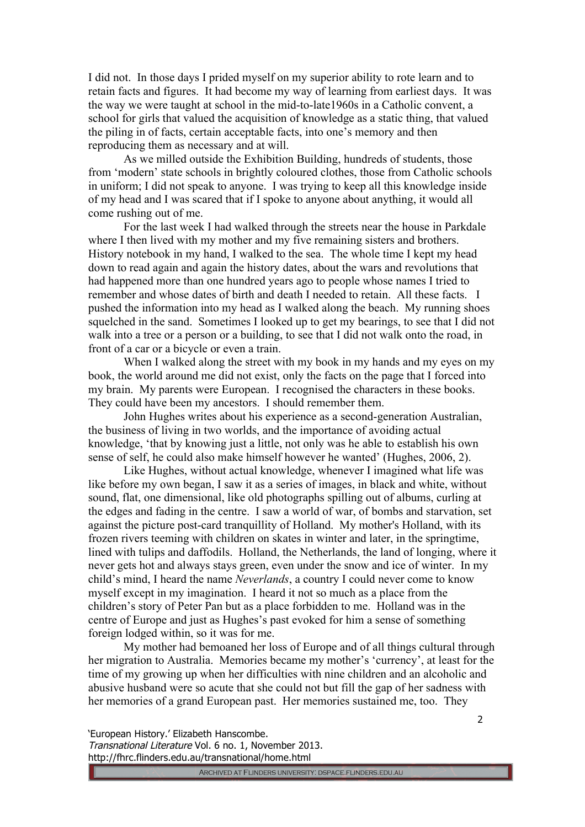I did not. In those days I prided myself on my superior ability to rote learn and to retain facts and figures. It had become my way of learning from earliest days. It was the way we were taught at school in the mid-to-late1960s in a Catholic convent, a school for girls that valued the acquisition of knowledge as a static thing, that valued the piling in of facts, certain acceptable facts, into one's memory and then reproducing them as necessary and at will.

As we milled outside the Exhibition Building, hundreds of students, those from 'modern' state schools in brightly coloured clothes, those from Catholic schools in uniform; I did not speak to anyone. I was trying to keep all this knowledge inside of my head and I was scared that if I spoke to anyone about anything, it would all come rushing out of me.

For the last week I had walked through the streets near the house in Parkdale where I then lived with my mother and my five remaining sisters and brothers. History notebook in my hand, I walked to the sea. The whole time I kept my head down to read again and again the history dates, about the wars and revolutions that had happened more than one hundred years ago to people whose names I tried to remember and whose dates of birth and death I needed to retain. All these facts. I pushed the information into my head as I walked along the beach. My running shoes squelched in the sand. Sometimes I looked up to get my bearings, to see that I did not walk into a tree or a person or a building, to see that I did not walk onto the road, in front of a car or a bicycle or even a train.

When I walked along the street with my book in my hands and my eyes on my book, the world around me did not exist, only the facts on the page that I forced into my brain. My parents were European. I recognised the characters in these books. They could have been my ancestors. I should remember them.

John Hughes writes about his experience as a second-generation Australian, the business of living in two worlds, and the importance of avoiding actual knowledge, 'that by knowing just a little, not only was he able to establish his own sense of self, he could also make himself however he wanted' (Hughes, 2006, 2).

Like Hughes, without actual knowledge, whenever I imagined what life was like before my own began, I saw it as a series of images, in black and white, without sound, flat, one dimensional, like old photographs spilling out of albums, curling at the edges and fading in the centre. I saw a world of war, of bombs and starvation, set against the picture post-card tranquillity of Holland. My mother's Holland, with its frozen rivers teeming with children on skates in winter and later, in the springtime, lined with tulips and daffodils. Holland, the Netherlands, the land of longing, where it never gets hot and always stays green, even under the snow and ice of winter. In my child's mind, I heard the name *Neverlands*, a country I could never come to know myself except in my imagination. I heard it not so much as a place from the children's story of Peter Pan but as a place forbidden to me. Holland was in the centre of Europe and just as Hughes's past evoked for him a sense of something foreign lodged within, so it was for me.

My mother had bemoaned her loss of Europe and of all things cultural through her migration to Australia. Memories became my mother's 'currency', at least for the time of my growing up when her difficulties with nine children and an alcoholic and abusive husband were so acute that she could not but fill the gap of her sadness with her memories of a grand European past. Her memories sustained me, too. They

'European History.' Elizabeth Hanscombe.

Transnational Literature Vol. 6 no. 1, November 2013. http://fhrc.flinders.edu.au/transnational/home.html

2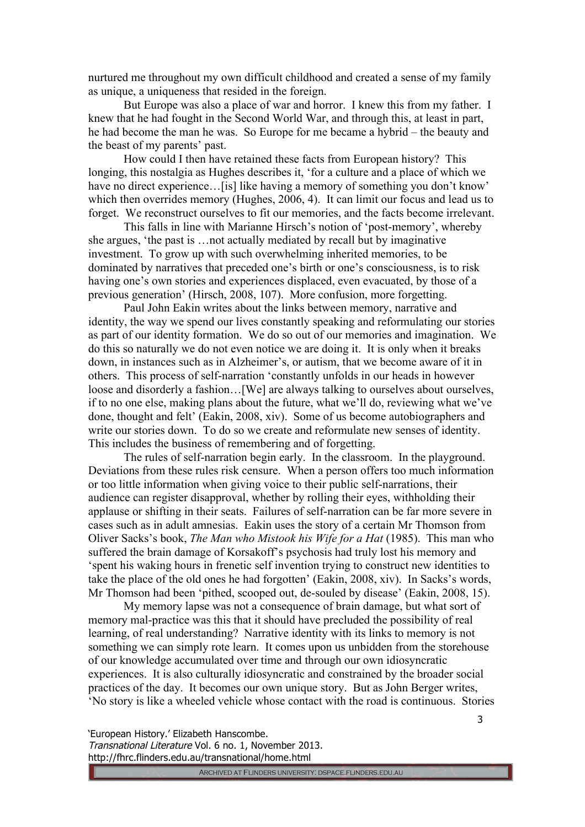nurtured me throughout my own difficult childhood and created a sense of my family as unique, a uniqueness that resided in the foreign.

But Europe was also a place of war and horror. I knew this from my father. I knew that he had fought in the Second World War, and through this, at least in part, he had become the man he was. So Europe for me became a hybrid – the beauty and the beast of my parents' past.

How could I then have retained these facts from European history? This longing, this nostalgia as Hughes describes it, 'for a culture and a place of which we have no direct experience... [is] like having a memory of something you don't know' which then overrides memory (Hughes, 2006, 4). It can limit our focus and lead us to forget. We reconstruct ourselves to fit our memories, and the facts become irrelevant.

This falls in line with Marianne Hirsch's notion of 'post-memory', whereby she argues, 'the past is …not actually mediated by recall but by imaginative investment. To grow up with such overwhelming inherited memories, to be dominated by narratives that preceded one's birth or one's consciousness, is to risk having one's own stories and experiences displaced, even evacuated, by those of a previous generation' (Hirsch, 2008, 107). More confusion, more forgetting.

Paul John Eakin writes about the links between memory, narrative and identity, the way we spend our lives constantly speaking and reformulating our stories as part of our identity formation. We do so out of our memories and imagination. We do this so naturally we do not even notice we are doing it. It is only when it breaks down, in instances such as in Alzheimer's, or autism, that we become aware of it in others. This process of self-narration 'constantly unfolds in our heads in however loose and disorderly a fashion... [We] are always talking to ourselves about ourselves, if to no one else, making plans about the future, what we'll do, reviewing what we've done, thought and felt' (Eakin, 2008, xiv). Some of us become autobiographers and write our stories down. To do so we create and reformulate new senses of identity. This includes the business of remembering and of forgetting.

The rules of self-narration begin early. In the classroom. In the playground. Deviations from these rules risk censure. When a person offers too much information or too little information when giving voice to their public self-narrations, their audience can register disapproval, whether by rolling their eyes, withholding their applause or shifting in their seats. Failures of self-narration can be far more severe in cases such as in adult amnesias. Eakin uses the story of a certain Mr Thomson from Oliver Sacks's book, *The Man who Mistook his Wife for a Hat* (1985). This man who suffered the brain damage of Korsakoff's psychosis had truly lost his memory and 'spent his waking hours in frenetic self invention trying to construct new identities to take the place of the old ones he had forgotten' (Eakin, 2008, xiv). In Sacks's words, Mr Thomson had been 'pithed, scooped out, de-souled by disease' (Eakin, 2008, 15).

My memory lapse was not a consequence of brain damage, but what sort of memory mal-practice was this that it should have precluded the possibility of real learning, of real understanding? Narrative identity with its links to memory is not something we can simply rote learn. It comes upon us unbidden from the storehouse of our knowledge accumulated over time and through our own idiosyncratic experiences. It is also culturally idiosyncratic and constrained by the broader social practices of the day. It becomes our own unique story. But as John Berger writes, 'No story is like a wheeled vehicle whose contact with the road is continuous. Stories

'European History.' Elizabeth Hanscombe. Transnational Literature Vol. 6 no. 1, November 2013.

http://fhrc.flinders.edu.au/transnational/home.html

3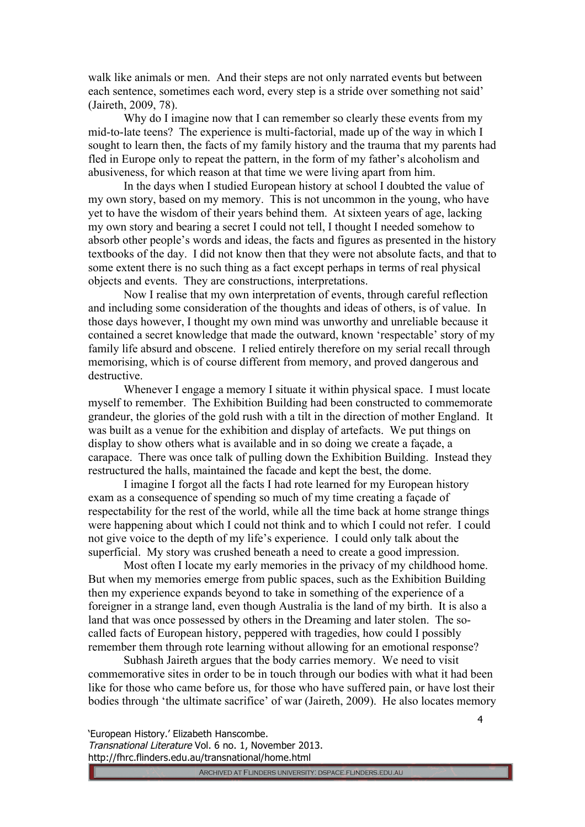walk like animals or men. And their steps are not only narrated events but between each sentence, sometimes each word, every step is a stride over something not said' (Jaireth, 2009, 78).

Why do I imagine now that I can remember so clearly these events from my mid-to-late teens? The experience is multi-factorial, made up of the way in which I sought to learn then, the facts of my family history and the trauma that my parents had fled in Europe only to repeat the pattern, in the form of my father's alcoholism and abusiveness, for which reason at that time we were living apart from him.

In the days when I studied European history at school I doubted the value of my own story, based on my memory. This is not uncommon in the young, who have yet to have the wisdom of their years behind them. At sixteen years of age, lacking my own story and bearing a secret I could not tell, I thought I needed somehow to absorb other people's words and ideas, the facts and figures as presented in the history textbooks of the day. I did not know then that they were not absolute facts, and that to some extent there is no such thing as a fact except perhaps in terms of real physical objects and events. They are constructions, interpretations.

Now I realise that my own interpretation of events, through careful reflection and including some consideration of the thoughts and ideas of others, is of value. In those days however, I thought my own mind was unworthy and unreliable because it contained a secret knowledge that made the outward, known 'respectable' story of my family life absurd and obscene. I relied entirely therefore on my serial recall through memorising, which is of course different from memory, and proved dangerous and destructive.

Whenever I engage a memory I situate it within physical space. I must locate myself to remember. The Exhibition Building had been constructed to commemorate grandeur, the glories of the gold rush with a tilt in the direction of mother England. It was built as a venue for the exhibition and display of artefacts. We put things on display to show others what is available and in so doing we create a façade, a carapace. There was once talk of pulling down the Exhibition Building. Instead they restructured the halls, maintained the facade and kept the best, the dome.

I imagine I forgot all the facts I had rote learned for my European history exam as a consequence of spending so much of my time creating a façade of respectability for the rest of the world, while all the time back at home strange things were happening about which I could not think and to which I could not refer. I could not give voice to the depth of my life's experience. I could only talk about the superficial. My story was crushed beneath a need to create a good impression.

Most often I locate my early memories in the privacy of my childhood home. But when my memories emerge from public spaces, such as the Exhibition Building then my experience expands beyond to take in something of the experience of a foreigner in a strange land, even though Australia is the land of my birth. It is also a land that was once possessed by others in the Dreaming and later stolen. The socalled facts of European history, peppered with tragedies, how could I possibly remember them through rote learning without allowing for an emotional response?

Subhash Jaireth argues that the body carries memory. We need to visit commemorative sites in order to be in touch through our bodies with what it had been like for those who came before us, for those who have suffered pain, or have lost their bodies through 'the ultimate sacrifice' of war (Jaireth, 2009). He also locates memory

'European History.' Elizabeth Hanscombe.

Transnational Literature Vol. 6 no. 1, November 2013. http://fhrc.flinders.edu.au/transnational/home.html

4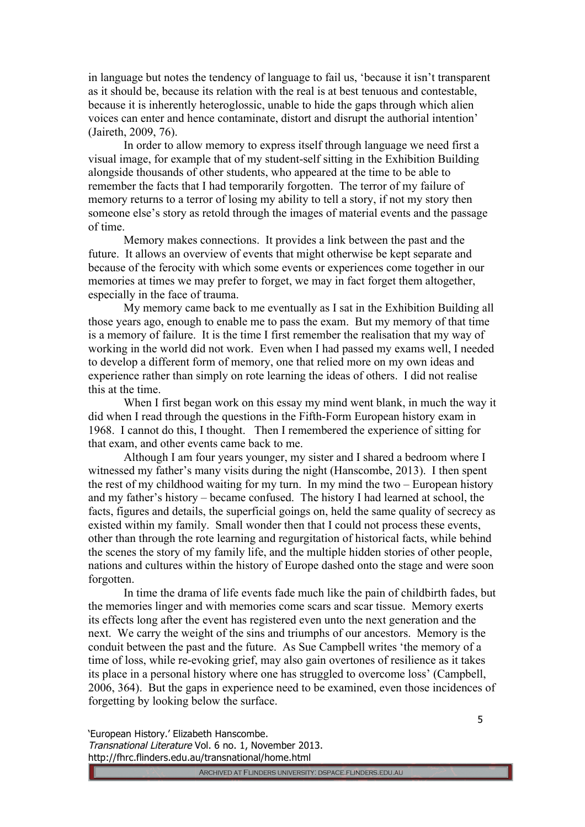in language but notes the tendency of language to fail us, 'because it isn't transparent as it should be, because its relation with the real is at best tenuous and contestable, because it is inherently heteroglossic, unable to hide the gaps through which alien voices can enter and hence contaminate, distort and disrupt the authorial intention' (Jaireth, 2009, 76).

In order to allow memory to express itself through language we need first a visual image, for example that of my student-self sitting in the Exhibition Building alongside thousands of other students, who appeared at the time to be able to remember the facts that I had temporarily forgotten. The terror of my failure of memory returns to a terror of losing my ability to tell a story, if not my story then someone else's story as retold through the images of material events and the passage of time.

Memory makes connections. It provides a link between the past and the future. It allows an overview of events that might otherwise be kept separate and because of the ferocity with which some events or experiences come together in our memories at times we may prefer to forget, we may in fact forget them altogether, especially in the face of trauma.

My memory came back to me eventually as I sat in the Exhibition Building all those years ago, enough to enable me to pass the exam. But my memory of that time is a memory of failure. It is the time I first remember the realisation that my way of working in the world did not work. Even when I had passed my exams well, I needed to develop a different form of memory, one that relied more on my own ideas and experience rather than simply on rote learning the ideas of others. I did not realise this at the time.

When I first began work on this essay my mind went blank, in much the way it did when I read through the questions in the Fifth-Form European history exam in 1968. I cannot do this, I thought. Then I remembered the experience of sitting for that exam, and other events came back to me.

Although I am four years younger, my sister and I shared a bedroom where I witnessed my father's many visits during the night (Hanscombe, 2013). I then spent the rest of my childhood waiting for my turn. In my mind the two – European history and my father's history – became confused. The history I had learned at school, the facts, figures and details, the superficial goings on, held the same quality of secrecy as existed within my family. Small wonder then that I could not process these events, other than through the rote learning and regurgitation of historical facts, while behind the scenes the story of my family life, and the multiple hidden stories of other people, nations and cultures within the history of Europe dashed onto the stage and were soon forgotten.

In time the drama of life events fade much like the pain of childbirth fades, but the memories linger and with memories come scars and scar tissue. Memory exerts its effects long after the event has registered even unto the next generation and the next. We carry the weight of the sins and triumphs of our ancestors. Memory is the conduit between the past and the future. As Sue Campbell writes 'the memory of a time of loss, while re-evoking grief, may also gain overtones of resilience as it takes its place in a personal history where one has struggled to overcome loss' (Campbell, 2006, 364). But the gaps in experience need to be examined, even those incidences of forgetting by looking below the surface.

'European History.' Elizabeth Hanscombe. Transnational Literature Vol. 6 no. 1, November 2013. http://fhrc.flinders.edu.au/transnational/home.html